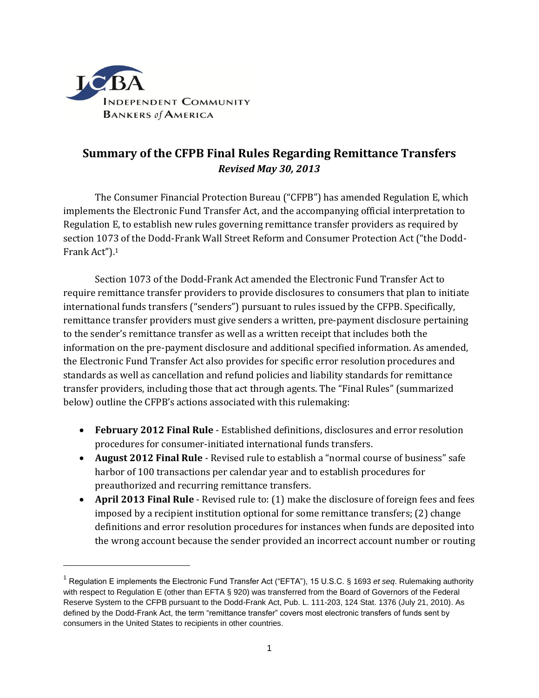

 $\overline{a}$ 

# **Summary of the CFPB Final Rules Regarding Remittance Transfers** *Revised May 30, 2013*

The Consumer Financial Protection Bureau ("CFPB") has amended Regulation E, which implements the Electronic Fund Transfer Act, and the accompanying official interpretation to Regulation E, to establish new rules governing remittance transfer providers as required by section 1073 of the Dodd-Frank Wall Street Reform and Consumer Protection Act ("the Dodd-Frank Act").<sup>1</sup>

Section 1073 of the Dodd-Frank Act amended the Electronic Fund Transfer Act to require remittance transfer providers to provide disclosures to consumers that plan to initiate international funds transfers ("senders") pursuant to rules issued by the CFPB. Specifically, remittance transfer providers must give senders a written, pre-payment disclosure pertaining to the sender's remittance transfer as well as a written receipt that includes both the information on the pre-payment disclosure and additional specified information. As amended, the Electronic Fund Transfer Act also provides for specific error resolution procedures and standards as well as cancellation and refund policies and liability standards for remittance transfer providers, including those that act through agents. The "Final Rules" (summarized below) outline the CFPB's actions associated with this rulemaking:

- **February 2012 Final Rule** Established definitions, disclosures and error resolution procedures for consumer-initiated international funds transfers.
- **August 2012 Final Rule** Revised rule to establish a "normal course of business" safe harbor of 100 transactions per calendar year and to establish procedures for preauthorized and recurring remittance transfers.
- **April 2013 Final Rule** Revised rule to: (1) make the disclosure of foreign fees and fees imposed by a recipient institution optional for some remittance transfers; (2) change definitions and error resolution procedures for instances when funds are deposited into the wrong account because the sender provided an incorrect account number or routing

<sup>1</sup> Regulation E implements the Electronic Fund Transfer Act ("EFTA"), 15 U.S.C. § 1693 *et seq*. Rulemaking authority with respect to Regulation E (other than EFTA § 920) was transferred from the Board of Governors of the Federal Reserve System to the CFPB pursuant to the Dodd-Frank Act, Pub. L. 111-203, 124 Stat. 1376 (July 21, 2010). As defined by the Dodd-Frank Act, the term "remittance transfer" covers most electronic transfers of funds sent by consumers in the United States to recipients in other countries.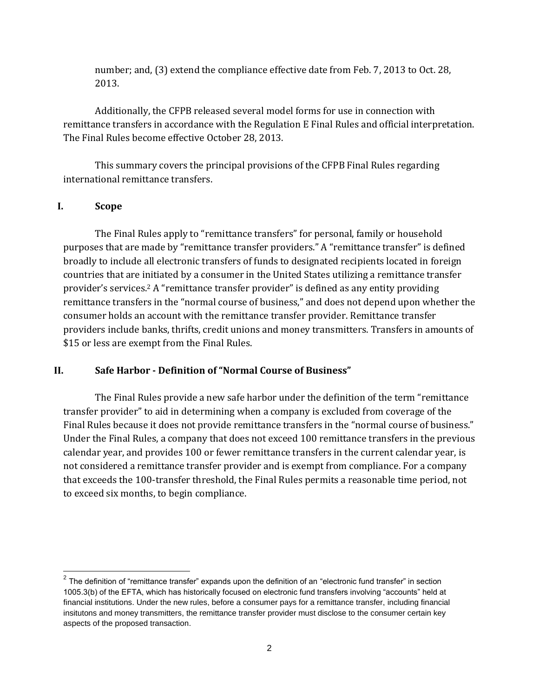number; and, (3) extend the compliance effective date from Feb. 7, 2013 to Oct. 28, 2013.

Additionally, the CFPB released several model forms for use in connection with remittance transfers in accordance with the Regulation E Final Rules and official interpretation. The Final Rules become effective October 28, 2013.

This summary covers the principal provisions of the CFPB Final Rules regarding international remittance transfers.

#### **I. Scope**

 $\overline{a}$ 

The Final Rules apply to "remittance transfers" for personal, family or household purposes that are made by "remittance transfer providers." A "remittance transfer" is defined broadly to include all electronic transfers of funds to designated recipients located in foreign countries that are initiated by a consumer in the United States utilizing a remittance transfer provider's services.<sup>2</sup> A "remittance transfer provider" is defined as any entity providing remittance transfers in the "normal course of business," and does not depend upon whether the consumer holds an account with the remittance transfer provider. Remittance transfer providers include banks, thrifts, credit unions and money transmitters. Transfers in amounts of \$15 or less are exempt from the Final Rules.

#### **II. Safe Harbor - Definition of "Normal Course of Business"**

The Final Rules provide a new safe harbor under the definition of the term "remittance transfer provider" to aid in determining when a company is excluded from coverage of the Final Rules because it does not provide remittance transfers in the "normal course of business." Under the Final Rules, a company that does not exceed 100 remittance transfers in the previous calendar year, and provides 100 or fewer remittance transfers in the current calendar year, is not considered a remittance transfer provider and is exempt from compliance. For a company that exceeds the 100-transfer threshold, the Final Rules permits a reasonable time period, not to exceed six months, to begin compliance.

 $2$  The definition of "remittance transfer" expands upon the definition of an "electronic fund transfer" in section 1005.3(b) of the EFTA, which has historically focused on electronic fund transfers involving "accounts" held at financial institutions. Under the new rules, before a consumer pays for a remittance transfer, including financial insitutons and money transmitters, the remittance transfer provider must disclose to the consumer certain key aspects of the proposed transaction.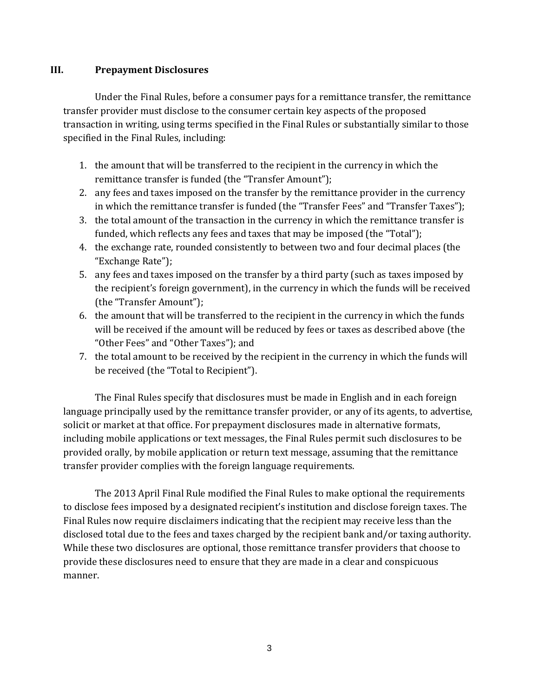## **III. Prepayment Disclosures**

Under the Final Rules, before a consumer pays for a remittance transfer, the remittance transfer provider must disclose to the consumer certain key aspects of the proposed transaction in writing, using terms specified in the Final Rules or substantially similar to those specified in the Final Rules, including:

- 1. the amount that will be transferred to the recipient in the currency in which the remittance transfer is funded (the "Transfer Amount");
- 2. any fees and taxes imposed on the transfer by the remittance provider in the currency in which the remittance transfer is funded (the "Transfer Fees" and "Transfer Taxes");
- 3. the total amount of the transaction in the currency in which the remittance transfer is funded, which reflects any fees and taxes that may be imposed (the "Total");
- 4. the exchange rate, rounded consistently to between two and four decimal places (the "Exchange Rate");
- 5. any fees and taxes imposed on the transfer by a third party (such as taxes imposed by the recipient's foreign government), in the currency in which the funds will be received (the "Transfer Amount");
- 6. the amount that will be transferred to the recipient in the currency in which the funds will be received if the amount will be reduced by fees or taxes as described above (the "Other Fees" and "Other Taxes"); and
- 7. the total amount to be received by the recipient in the currency in which the funds will be received (the "Total to Recipient").

The Final Rules specify that disclosures must be made in English and in each foreign language principally used by the remittance transfer provider, or any of its agents, to advertise, solicit or market at that office. For prepayment disclosures made in alternative formats, including mobile applications or text messages, the Final Rules permit such disclosures to be provided orally, by mobile application or return text message, assuming that the remittance transfer provider complies with the foreign language requirements.

The 2013 April Final Rule modified the Final Rules to make optional the requirements to disclose fees imposed by a designated recipient's institution and disclose foreign taxes. The Final Rules now require disclaimers indicating that the recipient may receive less than the disclosed total due to the fees and taxes charged by the recipient bank and/or taxing authority. While these two disclosures are optional, those remittance transfer providers that choose to provide these disclosures need to ensure that they are made in a clear and conspicuous manner.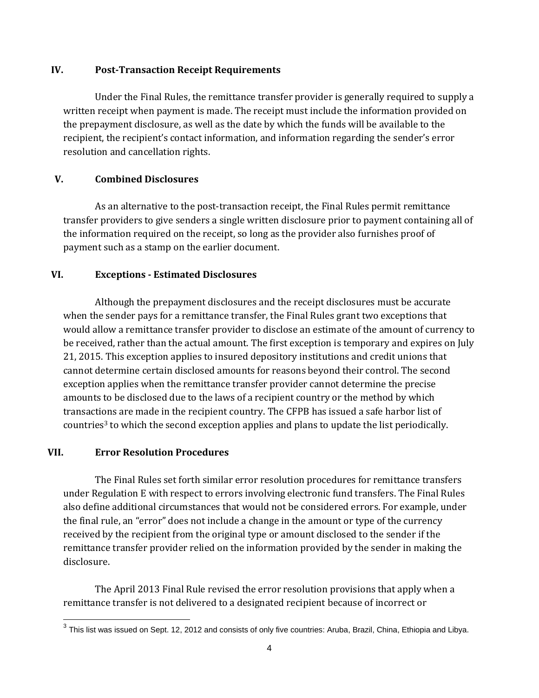#### **IV. Post-Transaction Receipt Requirements**

Under the Final Rules, the remittance transfer provider is generally required to supply a written receipt when payment is made. The receipt must include the information provided on the prepayment disclosure, as well as the date by which the funds will be available to the recipient, the recipient's contact information, and information regarding the sender's error resolution and cancellation rights.

## **V. Combined Disclosures**

As an alternative to the post-transaction receipt, the Final Rules permit remittance transfer providers to give senders a single written disclosure prior to payment containing all of the information required on the receipt, so long as the provider also furnishes proof of payment such as a stamp on the earlier document.

## **VI. Exceptions - Estimated Disclosures**

Although the prepayment disclosures and the receipt disclosures must be accurate when the sender pays for a remittance transfer, the Final Rules grant two exceptions that would allow a remittance transfer provider to disclose an estimate of the amount of currency to be received, rather than the actual amount. The first exception is temporary and expires on July 21, 2015. This exception applies to insured depository institutions and credit unions that cannot determine certain disclosed amounts for reasons beyond their control. The second exception applies when the remittance transfer provider cannot determine the precise amounts to be disclosed due to the laws of a recipient country or the method by which transactions are made in the recipient country. The CFPB has issued a safe harbor list of countries<sup>3</sup> to which the second exception applies and plans to update the list periodically.

#### **VII. Error Resolution Procedures**

The Final Rules set forth similar error resolution procedures for remittance transfers under Regulation E with respect to errors involving electronic fund transfers. The Final Rules also define additional circumstances that would not be considered errors. For example, under the final rule, an "error" does not include a change in the amount or type of the currency received by the recipient from the original type or amount disclosed to the sender if the remittance transfer provider relied on the information provided by the sender in making the disclosure.

The April 2013 Final Rule revised the error resolution provisions that apply when a remittance transfer is not delivered to a designated recipient because of incorrect or

 3 This list was issued on Sept. 12, 2012 and consists of only five countries: Aruba, Brazil, China, Ethiopia and Libya.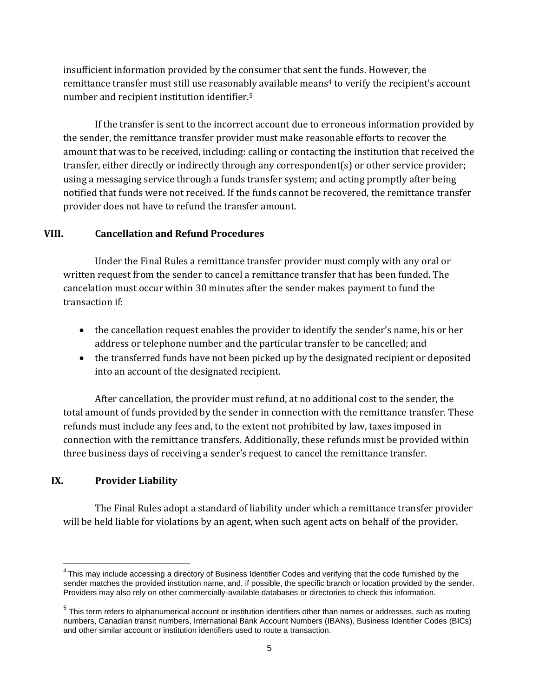insufficient information provided by the consumer that sent the funds. However, the remittance transfer must still use reasonably available means<sup>4</sup> to verify the recipient's account number and recipient institution identifier.<sup>5</sup>

If the transfer is sent to the incorrect account due to erroneous information provided by the sender, the remittance transfer provider must make reasonable efforts to recover the amount that was to be received, including: calling or contacting the institution that received the transfer, either directly or indirectly through any correspondent(s) or other service provider; using a messaging service through a funds transfer system; and acting promptly after being notified that funds were not received. If the funds cannot be recovered, the remittance transfer provider does not have to refund the transfer amount.

## **VIII. Cancellation and Refund Procedures**

Under the Final Rules a remittance transfer provider must comply with any oral or written request from the sender to cancel a remittance transfer that has been funded. The cancelation must occur within 30 minutes after the sender makes payment to fund the transaction if:

- the cancellation request enables the provider to identify the sender's name, his or her address or telephone number and the particular transfer to be cancelled; and
- the transferred funds have not been picked up by the designated recipient or deposited into an account of the designated recipient.

After cancellation, the provider must refund, at no additional cost to the sender, the total amount of funds provided by the sender in connection with the remittance transfer. These refunds must include any fees and, to the extent not prohibited by law, taxes imposed in connection with the remittance transfers. Additionally, these refunds must be provided within three business days of receiving a sender's request to cancel the remittance transfer.

# **IX. Provider Liability**

 $\overline{a}$ 

The Final Rules adopt a standard of liability under which a remittance transfer provider will be held liable for violations by an agent, when such agent acts on behalf of the provider.

 $^4$ This may include accessing a directory of Business Identifier Codes and verifying that the code furnished by the sender matches the provided institution name, and, if possible, the specific branch or location provided by the sender. Providers may also rely on other commercially-available databases or directories to check this information.

 $<sup>5</sup>$  This term refers to alphanumerical account or institution identifiers other than names or addresses, such as routing</sup> numbers, Canadian transit numbers, International Bank Account Numbers (IBANs), Business Identifier Codes (BICs) and other similar account or institution identifiers used to route a transaction.